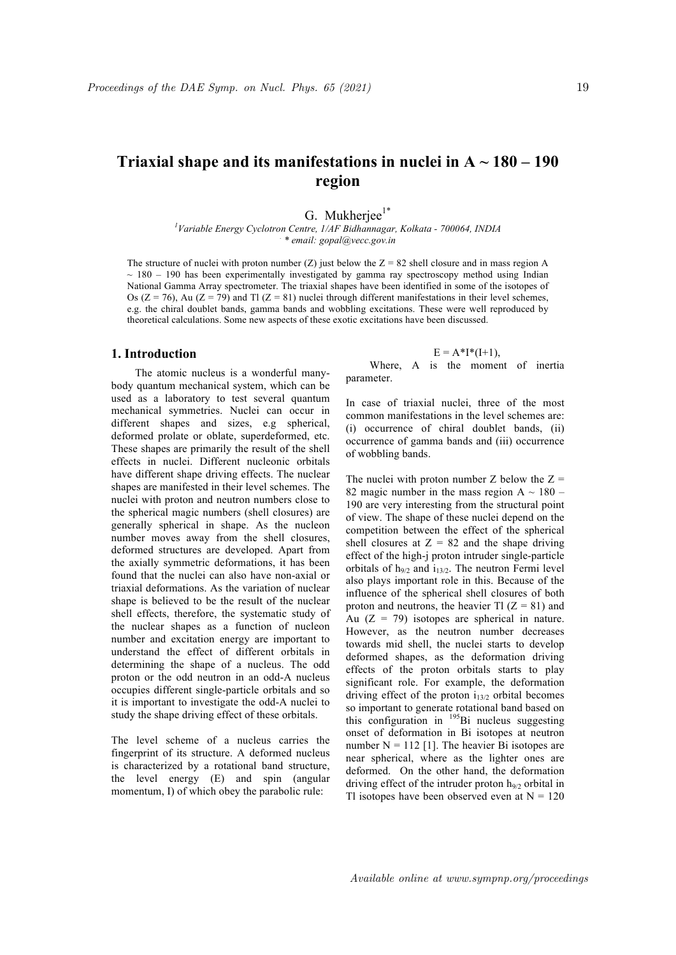# **Triaxial shape and its manifestations in nuclei in**  $A \sim 180 - 190$ **region**

G. Mukherjee $1^*$ 

*1 Variable Energy Cyclotron Centre, 1/AF Bidhannagar, Kolkata - 700064, INDIA . \* email: gopal@vecc.gov.in*

The structure of nuclei with proton number (Z) just below the  $Z = 82$  shell closure and in mass region A  $\sim$  180 – 190 has been experimentally investigated by gamma ray spectroscopy method using Indian National Gamma Array spectrometer. The triaxial shapes have been identified in some of the isotopes of Os ( $Z = 76$ ), Au ( $Z = 79$ ) and Tl ( $Z = 81$ ) nuclei through different manifestations in their level schemes, e.g. the chiral doublet bands, gamma bands and wobbling excitations. These were well reproduced by theoretical calculations. Some new aspects of these exotic excitations have been discussed.

## **1. Introduction**

The atomic nucleus is a wonderful manybody quantum mechanical system, which can be used as a laboratory to test several quantum mechanical symmetries. Nuclei can occur in different shapes and sizes, e.g spherical, deformed prolate or oblate, superdeformed, etc. These shapes are primarily the result of the shell effects in nuclei. Different nucleonic orbitals have different shape driving effects. The nuclear shapes are manifested in their level schemes. The nuclei with proton and neutron numbers close to the spherical magic numbers (shell closures) are generally spherical in shape. As the nucleon number moves away from the shell closures, deformed structures are developed. Apart from the axially symmetric deformations, it has been found that the nuclei can also have non-axial or triaxial deformations. As the variation of nuclear shape is believed to be the result of the nuclear shell effects, therefore, the systematic study of the nuclear shapes as a function of nucleon number and excitation energy are important to understand the effect of different orbitals in determining the shape of a nucleus. The odd proton or the odd neutron in an odd-A nucleus occupies different single-particle orbitals and so it is important to investigate the odd-A nuclei to study the shape driving effect of these orbitals.

The level scheme of a nucleus carries the fingerprint of its structure. A deformed nucleus is characterized by a rotational band structure, the level energy (E) and spin (angular momentum, I) of which obey the parabolic rule:

$$
E = A^*I^*(I+1),
$$

Where, A is the moment of inertia parameter.

In case of triaxial nuclei, three of the most common manifestations in the level schemes are: (i) occurrence of chiral doublet bands, (ii) occurrence of gamma bands and (iii) occurrence of wobbling bands.

The nuclei with proton number  $Z$  below the  $Z =$ 82 magic number in the mass region A  $\sim$  180 – 190 are very interesting from the structural point of view. The shape of these nuclei depend on the competition between the effect of the spherical shell closures at  $Z = 82$  and the shape driving effect of the high-j proton intruder single-particle orbitals of  $h_{9/2}$  and  $i_{13/2}$ . The neutron Fermi level also plays important role in this. Because of the influence of the spherical shell closures of both proton and neutrons, the heavier Tl  $(Z = 81)$  and Au  $(Z = 79)$  isotopes are spherical in nature. However, as the neutron number decreases towards mid shell, the nuclei starts to develop deformed shapes, as the deformation driving effects of the proton orbitals starts to play significant role. For example, the deformation driving effect of the proton  $i_{13/2}$  orbital becomes so important to generate rotational band based on this configuration in <sup>195</sup>Bi nucleus suggesting onset of deformation in Bi isotopes at neutron number  $N = 112$  [1]. The heavier Bi isotopes are near spherical, where as the lighter ones are deformed. On the other hand, the deformation driving effect of the intruder proton  $h_{9/2}$  orbital in Tl isotopes have been observed even at  $N = 120$